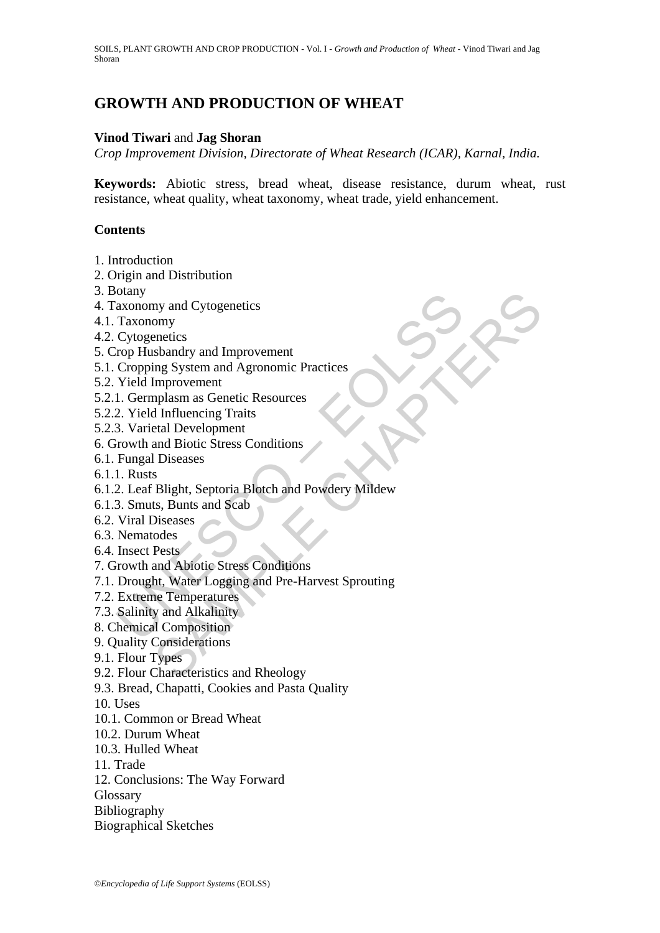# **GROWTH AND PRODUCTION OF WHEAT**

## **Vinod Tiwari** and **Jag Shoran**

*Crop Improvement Division, Directorate of Wheat Research (ICAR), Karnal, India.* 

**Keywords:** Abiotic stress, bread wheat, disease resistance, durum wheat, rust resistance, wheat quality, wheat taxonomy, wheat trade, yield enhancement.

## **Contents**

- 1. Introduction
- 2. Origin and Distribution
- 3. Botany
- 4. Taxonomy and Cytogenetics
- 4.1. Taxonomy
- 4.2. Cytogenetics
- 5. Crop Husbandry and Improvement
- 5.1. Cropping System and Agronomic Practices
- 5.2. Yield Improvement
- 5.2.1. Germplasm as Genetic Resources
- 5.2.2. Yield Influencing Traits
- 5.2.3. Varietal Development
- 6. Growth and Biotic Stress Conditions
- 6.1. Fungal Diseases
- 6.1.1. Rusts
- olally<br>
axonomy and Cytogenetics<br>
Taxonomy<br>
Cytogenetics<br>
Traxonomy<br>
Cytogenetics<br>
Yeield Improvement<br>
Cropping System and Agronomic Practices<br>
1. Germplasm as Genetic Resources<br>
1. Cermplasm as Genetic Resources<br>
2. Yield my and Cytogenetics<br>
omy<br>
schandry and Improvement<br>
ing System and Agronomic Practices<br>
Improvement<br>
Improvement<br>
etal Development<br>
and Biotic Stress Conditions<br>
SHE Dight, Septoria Blotch and Powdery Mildew<br>
Sesses<br>
Sests 6.1.2. Leaf Blight, Septoria Blotch and Powdery Mildew
- 6.1.3. Smuts, Bunts and Scab
- 6.2. Viral Diseases
- 6.3. Nematodes
- 6.4. Insect Pests
- 7. Growth and Abiotic Stress Conditions
- 7.1. Drought, Water Logging and Pre-Harvest Sprouting
- 7.2. Extreme Temperatures
- 7.3. Salinity and Alkalinity
- 8. Chemical Composition
- 9. Quality Considerations
- 9.1. Flour Types
- 9.2. Flour Characteristics and Rheology
- 9.3. Bread, Chapatti, Cookies and Pasta Quality
- 10. Uses
- 10.1. Common or Bread Wheat
- 10.2. Durum Wheat
- 10.3. Hulled Wheat
- 11. Trade
- 12. Conclusions: The Way Forward
- Glossary
- Bibliography
- Biographical Sketches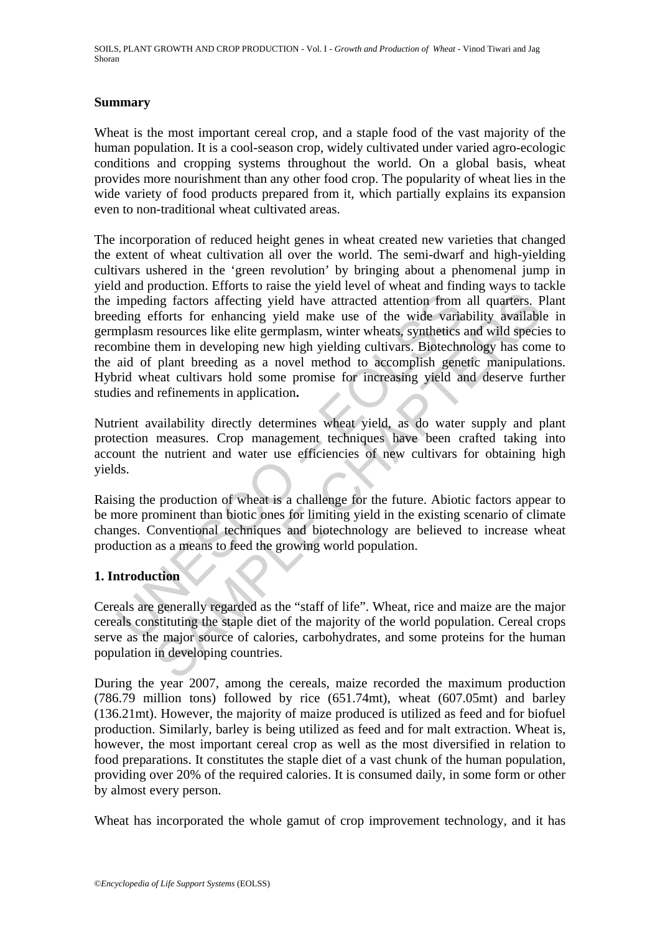### **Summary**

Wheat is the most important cereal crop, and a staple food of the vast majority of the human population. It is a cool-season crop, widely cultivated under varied agro-ecologic conditions and cropping systems throughout the world. On a global basis, wheat provides more nourishment than any other food crop. The popularity of wheat lies in the wide variety of food products prepared from it, which partially explains its expansion even to non-traditional wheat cultivated areas.

impeding factors affecting yield have attracted attention from<br>ding efforts for enhancing yield make use of the wide varia<br>uplasm resources like elite germplasm, winter wheats, synthetics is<br>mbine them in developing new hi In the state effecting yield have attracted attention from all quarters. Frorts for enhancing yield have attracted attention from all quarters. Frorts like eiting equality available the min developing new high yielding cul The incorporation of reduced height genes in wheat created new varieties that changed the extent of wheat cultivation all over the world. The semi-dwarf and high-yielding cultivars ushered in the 'green revolution' by bringing about a phenomenal jump in yield and production. Efforts to raise the yield level of wheat and finding ways to tackle the impeding factors affecting yield have attracted attention from all quarters. Plant breeding efforts for enhancing yield make use of the wide variability available in germplasm resources like elite germplasm, winter wheats, synthetics and wild species to recombine them in developing new high yielding cultivars. Biotechnology has come to the aid of plant breeding as a novel method to accomplish genetic manipulations. Hybrid wheat cultivars hold some promise for increasing yield and deserve further studies and refinements in application**.** 

Nutrient availability directly determines wheat yield, as do water supply and plant protection measures. Crop management techniques have been crafted taking into account the nutrient and water use efficiencies of new cultivars for obtaining high yields.

Raising the production of wheat is a challenge for the future. Abiotic factors appear to be more prominent than biotic ones for limiting yield in the existing scenario of climate changes. Conventional techniques and biotechnology are believed to increase wheat production as a means to feed the growing world population.

## **1. Introduction**

Cereals are generally regarded as the "staff of life". Wheat, rice and maize are the major cereals constituting the staple diet of the majority of the world population. Cereal crops serve as the major source of calories, carbohydrates, and some proteins for the human population in developing countries.

During the year 2007, among the cereals, maize recorded the maximum production (786.79 million tons) followed by rice (651.74mt), wheat (607.05mt) and barley (136.21mt). However, the majority of maize produced is utilized as feed and for biofuel production. Similarly, barley is being utilized as feed and for malt extraction. Wheat is, however, the most important cereal crop as well as the most diversified in relation to food preparations. It constitutes the staple diet of a vast chunk of the human population, providing over 20% of the required calories. It is consumed daily, in some form or other by almost every person.

Wheat has incorporated the whole gamut of crop improvement technology, and it has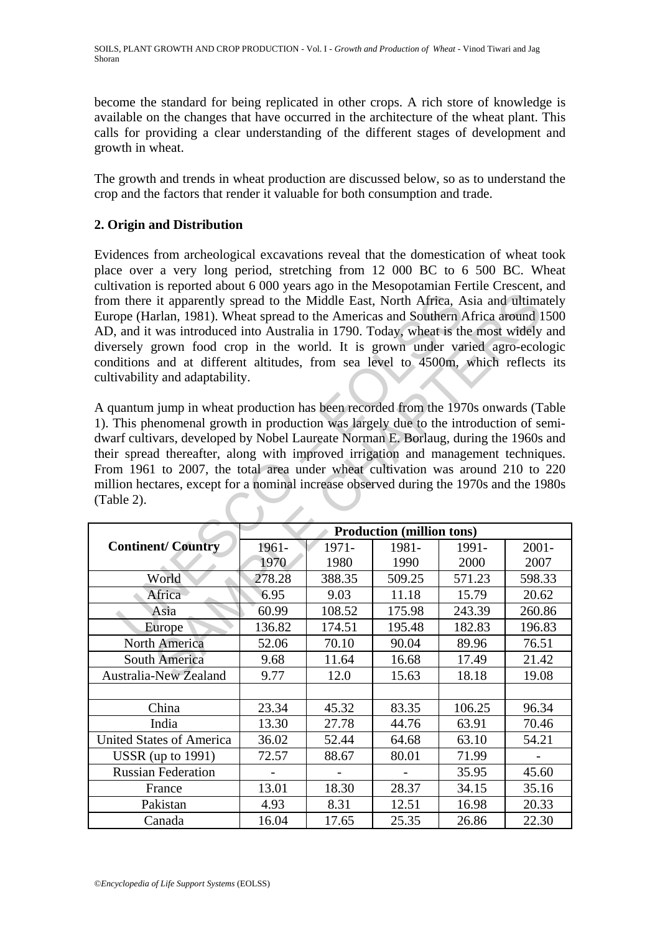become the standard for being replicated in other crops. A rich store of knowledge is available on the changes that have occurred in the architecture of the wheat plant. This calls for providing a clear understanding of the different stages of development and growth in wheat.

The growth and trends in wheat production are discussed below, so as to understand the crop and the factors that render it valuable for both consumption and trade.

## **2. Origin and Distribution**

Evidences from archeological excavations reveal that the domestication of wheat took place over a very long period, stretching from 12 000 BC to 6 500 BC. Wheat cultivation is reported about 6 000 years ago in the Mesopotamian Fertile Crescent, and from there it apparently spread to the Middle East, North Africa, Asia and ultimately Europe (Harlan, 1981). Wheat spread to the Americas and Southern Africa around 1500 AD, and it was introduced into Australia in 1790. Today, wheat is the most widely and diversely grown food crop in the world. It is grown under varied agro-ecologic conditions and at different altitudes, from sea level to 4500m, which reflects its cultivability and adaptability.

| from there it apparently spread to the Middle East, North Africa, Asia and ultimately<br>Europe (Harlan, 1981). Wheat spread to the Americas and Southern Africa around 1500<br>AD, and it was introduced into Australia in 1790. Today, wheat is the most widely and<br>diversely grown food crop in the world. It is grown under varied agro-ecologic<br>conditions and at different altitudes, from sea level to 4500m, which reflects its<br>cultivability and adaptability.<br>A quantum jump in wheat production has been recorded from the 1970s onwards (Table<br>1). This phenomenal growth in production was largely due to the introduction of semi-<br>dwarf cultivars, developed by Nobel Laureate Norman E. Borlaug, during the 1960s and<br>their spread thereafter, along with improved irrigation and management techniques.<br>From 1961 to 2007, the total area under wheat cultivation was around 210 to 220 |                                  |        |        |        |          |  |
|----------------------------------------------------------------------------------------------------------------------------------------------------------------------------------------------------------------------------------------------------------------------------------------------------------------------------------------------------------------------------------------------------------------------------------------------------------------------------------------------------------------------------------------------------------------------------------------------------------------------------------------------------------------------------------------------------------------------------------------------------------------------------------------------------------------------------------------------------------------------------------------------------------------------------------|----------------------------------|--------|--------|--------|----------|--|
| million hectares, except for a nominal increase observed during the 1970s and the 1980s<br>(Table 2).                                                                                                                                                                                                                                                                                                                                                                                                                                                                                                                                                                                                                                                                                                                                                                                                                            |                                  |        |        |        |          |  |
|                                                                                                                                                                                                                                                                                                                                                                                                                                                                                                                                                                                                                                                                                                                                                                                                                                                                                                                                  | <b>Production (million tons)</b> |        |        |        |          |  |
| <b>Continent/Country</b>                                                                                                                                                                                                                                                                                                                                                                                                                                                                                                                                                                                                                                                                                                                                                                                                                                                                                                         | 1961-                            | 1971-  | 1981-  | 1991-  | $2001 -$ |  |
|                                                                                                                                                                                                                                                                                                                                                                                                                                                                                                                                                                                                                                                                                                                                                                                                                                                                                                                                  | 1970.                            | 1980   | 1990   | 2000   | 2007     |  |
| World                                                                                                                                                                                                                                                                                                                                                                                                                                                                                                                                                                                                                                                                                                                                                                                                                                                                                                                            | 278.28                           | 388.35 | 509.25 | 571.23 | 598.33   |  |
| Africa                                                                                                                                                                                                                                                                                                                                                                                                                                                                                                                                                                                                                                                                                                                                                                                                                                                                                                                           | 6.95                             | 9.03   | 11.18  | 15.79  | 20.62    |  |
| Asia                                                                                                                                                                                                                                                                                                                                                                                                                                                                                                                                                                                                                                                                                                                                                                                                                                                                                                                             | 60.99                            | 108.52 | 175.98 | 243.39 | 260.86   |  |
| Europe                                                                                                                                                                                                                                                                                                                                                                                                                                                                                                                                                                                                                                                                                                                                                                                                                                                                                                                           | 136.82                           | 174.51 | 195.48 | 182.83 | 196.83   |  |
| <b>North America</b>                                                                                                                                                                                                                                                                                                                                                                                                                                                                                                                                                                                                                                                                                                                                                                                                                                                                                                             | 52.06                            | 70.10  | 90.04  | 89.96  | 76.51    |  |
| South America                                                                                                                                                                                                                                                                                                                                                                                                                                                                                                                                                                                                                                                                                                                                                                                                                                                                                                                    | 9.68                             | 11.64  | 16.68  | 17.49  | 21.42    |  |
| <b>Australia-New Zealand</b>                                                                                                                                                                                                                                                                                                                                                                                                                                                                                                                                                                                                                                                                                                                                                                                                                                                                                                     | 9.77                             | 12.0   | 15.63  | 18.18  | 19.08    |  |
|                                                                                                                                                                                                                                                                                                                                                                                                                                                                                                                                                                                                                                                                                                                                                                                                                                                                                                                                  |                                  |        |        |        |          |  |
| China                                                                                                                                                                                                                                                                                                                                                                                                                                                                                                                                                                                                                                                                                                                                                                                                                                                                                                                            | 23.34                            | 45.32  | 83.35  | 106.25 | 96.34    |  |
| India                                                                                                                                                                                                                                                                                                                                                                                                                                                                                                                                                                                                                                                                                                                                                                                                                                                                                                                            | 13.30                            | 27.78  | 44.76  | 63.91  | 70.46    |  |
| <b>United States of America</b>                                                                                                                                                                                                                                                                                                                                                                                                                                                                                                                                                                                                                                                                                                                                                                                                                                                                                                  | 36.02                            | 52.44  | 64.68  | 63.10  | 54.21    |  |
| $USSR$ (up to 1991)                                                                                                                                                                                                                                                                                                                                                                                                                                                                                                                                                                                                                                                                                                                                                                                                                                                                                                              | 72.57                            | 88.67  | 80.01  | 71.99  |          |  |
| <b>Russian Federation</b>                                                                                                                                                                                                                                                                                                                                                                                                                                                                                                                                                                                                                                                                                                                                                                                                                                                                                                        |                                  |        |        | 35.95  | 45.60    |  |
| France                                                                                                                                                                                                                                                                                                                                                                                                                                                                                                                                                                                                                                                                                                                                                                                                                                                                                                                           | 13.01                            | 18.30  | 28.37  | 34.15  | 35.16    |  |
| Pakistan                                                                                                                                                                                                                                                                                                                                                                                                                                                                                                                                                                                                                                                                                                                                                                                                                                                                                                                         | 4.93                             | 8.31   | 12.51  | 16.98  | 20.33    |  |
| Canada                                                                                                                                                                                                                                                                                                                                                                                                                                                                                                                                                                                                                                                                                                                                                                                                                                                                                                                           | 16.04                            | 17.65  | 25.35  | 26.86  | 22.30    |  |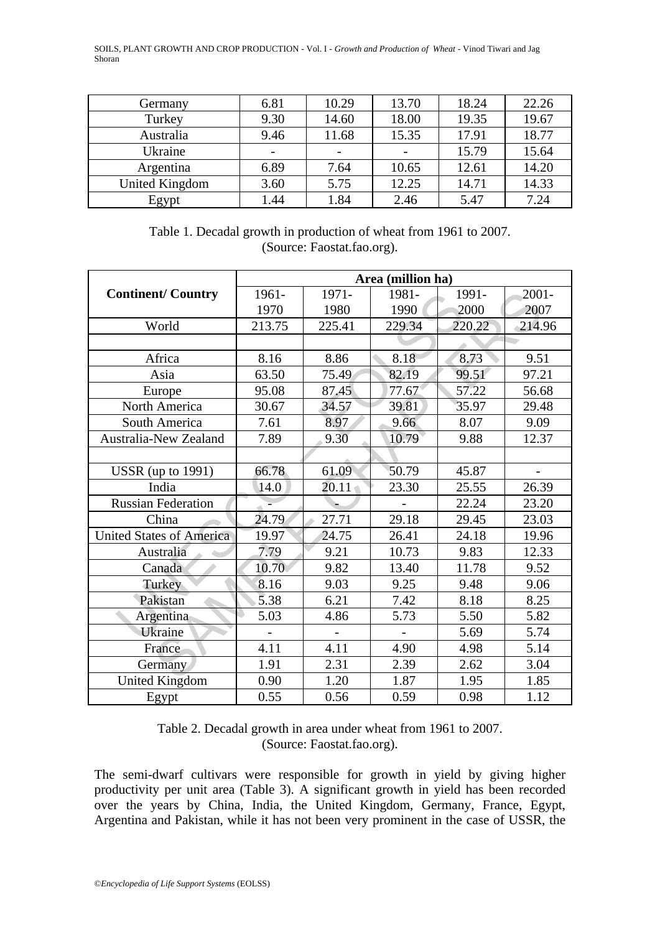| Germany        | 6.81 | 10.29 | 13.70 | 18.24 | 22.26 |
|----------------|------|-------|-------|-------|-------|
| Turkey         | 9.30 | 14.60 | 18.00 | 19.35 | 19.67 |
| Australia      | 9.46 | 11.68 | 15.35 | 17.91 | 18.77 |
| Ukraine        |      |       |       | 15.79 | 15.64 |
| Argentina      | 6.89 | 7.64  | 10.65 | 12.61 | 14.20 |
| United Kingdom | 3.60 | 5.75  | 12.25 | 14.71 | 14.33 |
| Egypt          | 1.44 | 1.84  | 2.46  | 5.47  | 7.24  |

Table 1. Decadal growth in production of wheat from 1961 to 2007. (Source: Faostat.fao.org).

|                                 | Area (million ha) |        |        |        |          |
|---------------------------------|-------------------|--------|--------|--------|----------|
| <b>Continent/Country</b>        | 1961-             | 1971-  | 1981-  | 1991-  | $2001 -$ |
|                                 | 1970              | 1980   | 1990   | 2000   | 2007     |
| World                           | 213.75            | 225.41 | 229.34 | 220.22 | 214.96   |
|                                 |                   |        |        |        |          |
| Africa                          | 8.16              | 8.86   | 8.18   | 8.73   | 9.51     |
| Asia                            | 63.50             | 75.49  | 82.19  | 99.51  | 97.21    |
| Europe                          | 95.08             | 87.45  | 77.67  | 57.22  | 56.68    |
| North America                   | 30.67             | 34.57  | 39.81  | 35.97  | 29.48    |
| South America                   | 7.61              | 8.97   | 9.66   | 8.07   | 9.09     |
| Australia-New Zealand           | 7.89              | 9.30   | 10.79  | 9.88   | 12.37    |
|                                 |                   |        |        |        |          |
| USSR (up to $1991$ )            | 66.78             | 61.09  | 50.79  | 45.87  |          |
| India                           | 14.0              | 20.11  | 23.30  | 25.55  | 26.39    |
| <b>Russian Federation</b>       |                   |        |        | 22.24  | 23.20    |
| China                           | 24.79             | 27.71  | 29.18  | 29.45  | 23.03    |
| <b>United States of America</b> | 19.97             | 24.75  | 26.41  | 24.18  | 19.96    |
| Australia                       | 7.79              | 9.21   | 10.73  | 9.83   | 12.33    |
| Canada                          | 10.70             | 9.82   | 13.40  | 11.78  | 9.52     |
| Turkey                          | 8.16              | 9.03   | 9.25   | 9.48   | 9.06     |
| Pakistan                        | 5.38              | 6.21   | 7.42   | 8.18   | 8.25     |
| Argentina                       | 5.03              | 4.86   | 5.73   | 5.50   | 5.82     |
| Ukraine                         |                   |        |        | 5.69   | 5.74     |
| France                          | 4.11              | 4.11   | 4.90   | 4.98   | 5.14     |
| Germany                         | 1.91              | 2.31   | 2.39   | 2.62   | 3.04     |
| <b>United Kingdom</b>           | 0.90              | 1.20   | 1.87   | 1.95   | 1.85     |
| Egypt                           | 0.55              | 0.56   | 0.59   | 0.98   | 1.12     |

Table 2. Decadal growth in area under wheat from 1961 to 2007. (Source: Faostat.fao.org).

The semi-dwarf cultivars were responsible for growth in yield by giving higher productivity per unit area (Table 3). A significant growth in yield has been recorded over the years by China, India, the United Kingdom, Germany, France, Egypt, Argentina and Pakistan, while it has not been very prominent in the case of USSR, the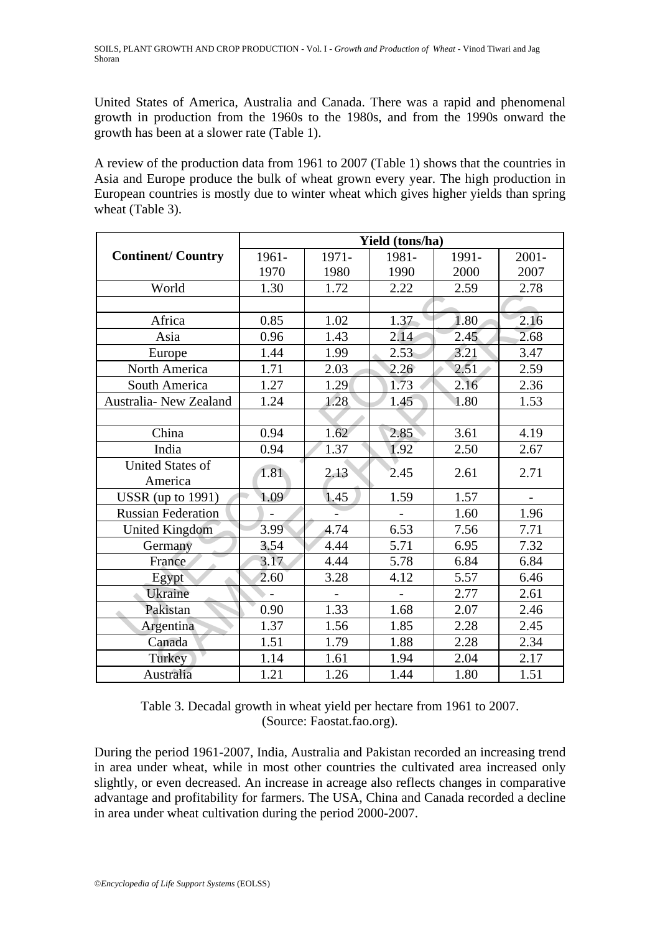United States of America, Australia and Canada. There was a rapid and phenomenal growth in production from the 1960s to the 1980s, and from the 1990s onward the growth has been at a slower rate (Table 1).

A review of the production data from 1961 to 2007 (Table 1) shows that the countries in Asia and Europe produce the bulk of wheat grown every year. The high production in European countries is mostly due to winter wheat which gives higher yields than spring wheat (Table 3).

|                           | Yield (tons/ha) |       |       |       |          |  |
|---------------------------|-----------------|-------|-------|-------|----------|--|
| <b>Continent/Country</b>  | 1961-           | 1971- | 1981- | 1991- | $2001 -$ |  |
|                           | 1970            | 1980  | 1990  | 2000  | 2007     |  |
| World                     | 1.30            | 1.72  | 2.22  | 2.59  | 2.78     |  |
|                           |                 |       |       |       |          |  |
| Africa                    | 0.85            | 1.02  | 1.37  | 1.80  | 2.16     |  |
| Asia                      | 0.96            | 1.43  | 2.14  | 2.45  | 2.68     |  |
| Europe                    | 1.44            | 1.99  | 2.53  | 3.21  | 3.47     |  |
| North America             | 1.71            | 2.03  | 2.26  | 2.51  | 2.59     |  |
| South America             | 1.27            | 1.29  | 1.73  | 2.16  | 2.36     |  |
| Australia- New Zealand    | 1.24            | 1.28  | 1.45  | 1.80  | 1.53     |  |
|                           |                 |       |       |       |          |  |
| China                     | 0.94            | 1.62  | 2.85  | 3.61  | 4.19     |  |
| India                     | 0.94            | 1.37  | 1.92  | 2.50  | 2.67     |  |
| <b>United States of</b>   | 1.81            | 2.13  | 2.45  | 2.61  | 2.71     |  |
| America                   |                 |       |       |       |          |  |
| <b>USSR</b> (up to 1991)  | 1.09            | 1.45  | 1.59  | 1.57  |          |  |
| <b>Russian Federation</b> |                 |       |       | 1.60  | 1.96     |  |
| <b>United Kingdom</b>     | 3.99            | 4.74  | 6.53  | 7.56  | 7.71     |  |
| Germany                   | 3.54            | 4.44  | 5.71  | 6.95  | 7.32     |  |
| France                    | 3.17            | 4.44  | 5.78  | 6.84  | 6.84     |  |
| Egypt                     | 2.60            | 3.28  | 4.12  | 5.57  | 6.46     |  |
| Ukraine                   |                 |       |       | 2.77  | 2.61     |  |
| Pakistan                  | 0.90            | 1.33  | 1.68  | 2.07  | 2.46     |  |
| Argentina                 | 1.37            | 1.56  | 1.85  | 2.28  | 2.45     |  |
| Canada                    | 1.51            | 1.79  | 1.88  | 2.28  | 2.34     |  |
| Turkey                    | 1.14            | 1.61  | 1.94  | 2.04  | 2.17     |  |
| Australia                 | 1.21            | 1.26  | 1.44  | 1.80  | 1.51     |  |

Table 3. Decadal growth in wheat yield per hectare from 1961 to 2007. (Source: Faostat.fao.org).

During the period 1961-2007, India, Australia and Pakistan recorded an increasing trend in area under wheat, while in most other countries the cultivated area increased only slightly, or even decreased. An increase in acreage also reflects changes in comparative advantage and profitability for farmers. The USA, China and Canada recorded a decline in area under wheat cultivation during the period 2000-2007.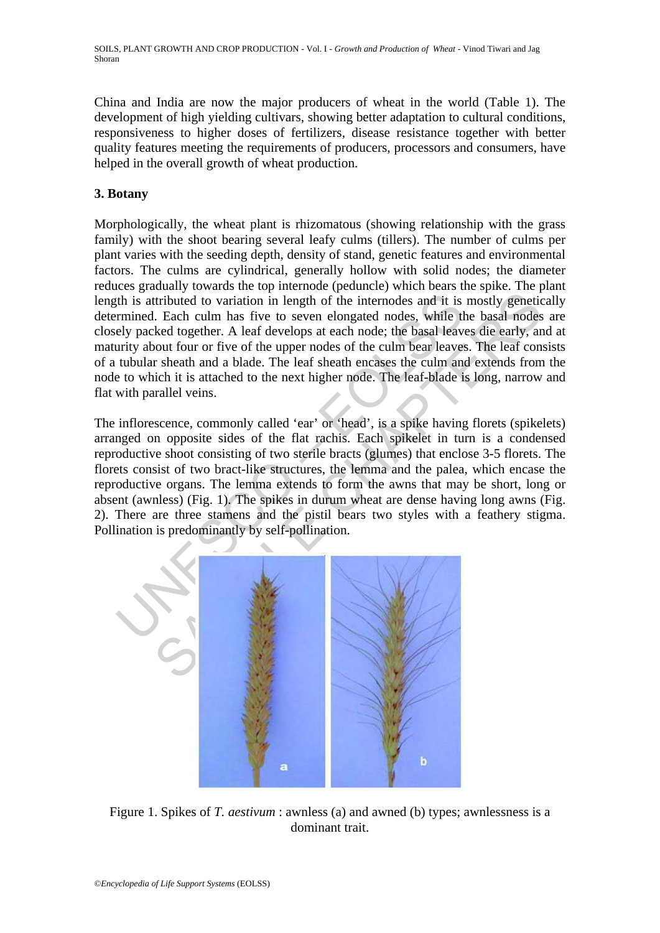China and India are now the major producers of wheat in the world (Table 1). The development of high yielding cultivars, showing better adaptation to cultural conditions, responsiveness to higher doses of fertilizers, disease resistance together with better quality features meeting the requirements of producers, processors and consumers, have helped in the overall growth of wheat production.

## **3. Botany**

Morphologically, the wheat plant is rhizomatous (showing relationship with the grass family) with the shoot bearing several leafy culms (tillers). The number of culms per plant varies with the seeding depth, density of stand, genetic features and environmental factors. The culms are cylindrical, generally hollow with solid nodes; the diameter reduces gradually towards the top internode (peduncle) which bears the spike. The plant length is attributed to variation in length of the internodes and it is mostly genetically determined. Each culm has five to seven elongated nodes, while the basal nodes are closely packed together. A leaf develops at each node; the basal leaves die early, and at maturity about four or five of the upper nodes of the culm bear leaves. The leaf consists of a tubular sheath and a blade. The leaf sheath encases the culm and extends from the node to which it is attached to the next higher node. The leaf-blade is long, narrow and flat with parallel veins.

th is attributed to variation in length of the internodes and it is<br>trimined. Each culm has five to seven elongated nodes, while the<br>left pracked together. A leaf develops at each node; the basal leave<br>urity about four or Internal of the internal of the internal of the internal of the internal of the internal of the internal of the internal of the internal of the basal nodes.<br>
Leach culm has five to seven elongated nodes, while the basal no The inflorescence, commonly called 'ear' or 'head', is a spike having florets (spikelets) arranged on opposite sides of the flat rachis. Each spikelet in turn is a condensed reproductive shoot consisting of two sterile bracts (glumes) that enclose 3-5 florets. The florets consist of two bract-like structures, the lemma and the palea, which encase the reproductive organs. The lemma extends to form the awns that may be short, long or absent (awnless) (Fig. 1). The spikes in durum wheat are dense having long awns (Fig. 2). There are three stamens and the pistil bears two styles with a feathery stigma. Pollination is predominantly by self-pollination.



Figure 1. Spikes of *T. aestivum* : awnless (a) and awned (b) types; awnlessness is a dominant trait.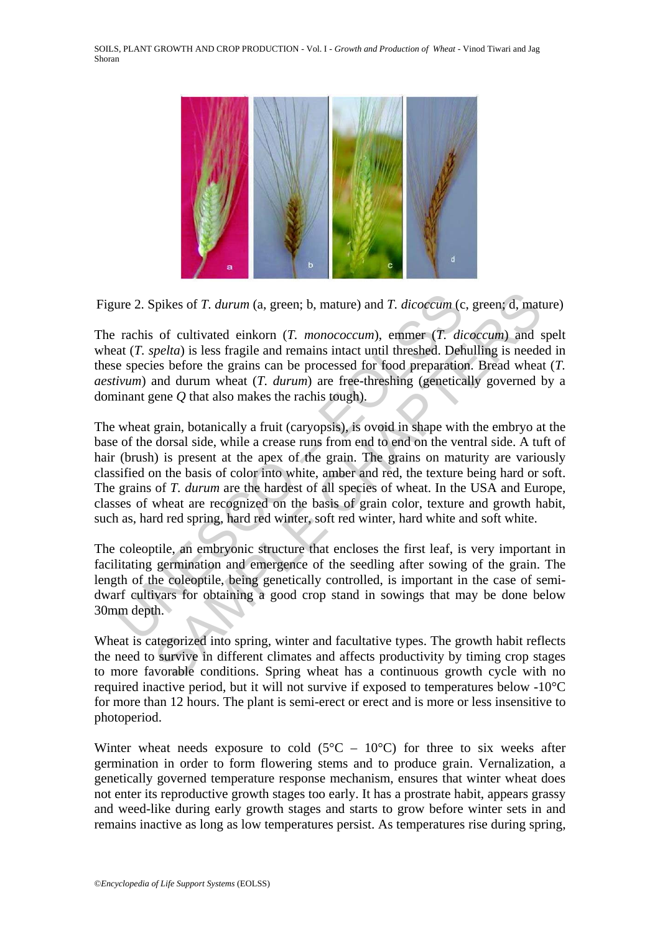

Figure 2. Spikes of *T. durum* (a, green; b, mature) and *T. dicoccum* (c, green; d, mature)

The rachis of cultivated einkorn (*T. monococcum*), emmer (*T. dicoccum*) and spelt wheat (*T. spelta*) is less fragile and remains intact until threshed. Dehulling is needed in these species before the grains can be processed for food preparation. Bread wheat (*T. aestivum*) and durum wheat (*T. durum*) are free-threshing (genetically governed by a dominant gene *Q* that also makes the rachis tough).

ative 2. Spikes of *T. durum* (a, green; b, mature) and *T. dicoccum* (c<br>rachis of cultivated einkorn (*T. monococcum*), emmer (*T. diat* (*T. spelta*) is less fragile and remains intact until threshed. Defe<br>e species bef spikes of *T. durum* (a, green; b, mature) and *T. dicoccum* (c, green; d, mat<br>of cultivated einkorn (*T. monococum*), emmer (*T. dicoccum*) and<br>*spelta*) is less fragile and remains intact until threshed. Dehulling is ne The wheat grain, botanically a fruit (caryopsis), is ovoid in shape with the embryo at the base of the dorsal side, while a crease runs from end to end on the ventral side. A tuft of hair (brush) is present at the apex of the grain. The grains on maturity are variously classified on the basis of color into white, amber and red, the texture being hard or soft. The grains of *T. durum* are the hardest of all species of wheat. In the USA and Europe, classes of wheat are recognized on the basis of grain color, texture and growth habit, such as, hard red spring, hard red winter, soft red winter, hard white and soft white.

The coleoptile, an embryonic structure that encloses the first leaf, is very important in facilitating germination and emergence of the seedling after sowing of the grain. The length of the coleoptile, being genetically controlled, is important in the case of semidwarf cultivars for obtaining a good crop stand in sowings that may be done below 30mm depth.

Wheat is categorized into spring, winter and facultative types. The growth habit reflects the need to survive in different climates and affects productivity by timing crop stages to more favorable conditions. Spring wheat has a continuous growth cycle with no required inactive period, but it will not survive if exposed to temperatures below -10°C for more than 12 hours. The plant is semi-erect or erect and is more or less insensitive to photoperiod.

Winter wheat needs exposure to cold  $(5^{\circ}C - 10^{\circ}C)$  for three to six weeks after germination in order to form flowering stems and to produce grain. Vernalization, a genetically governed temperature response mechanism, ensures that winter wheat does not enter its reproductive growth stages too early. It has a prostrate habit, appears grassy and weed-like during early growth stages and starts to grow before winter sets in and remains inactive as long as low temperatures persist. As temperatures rise during spring,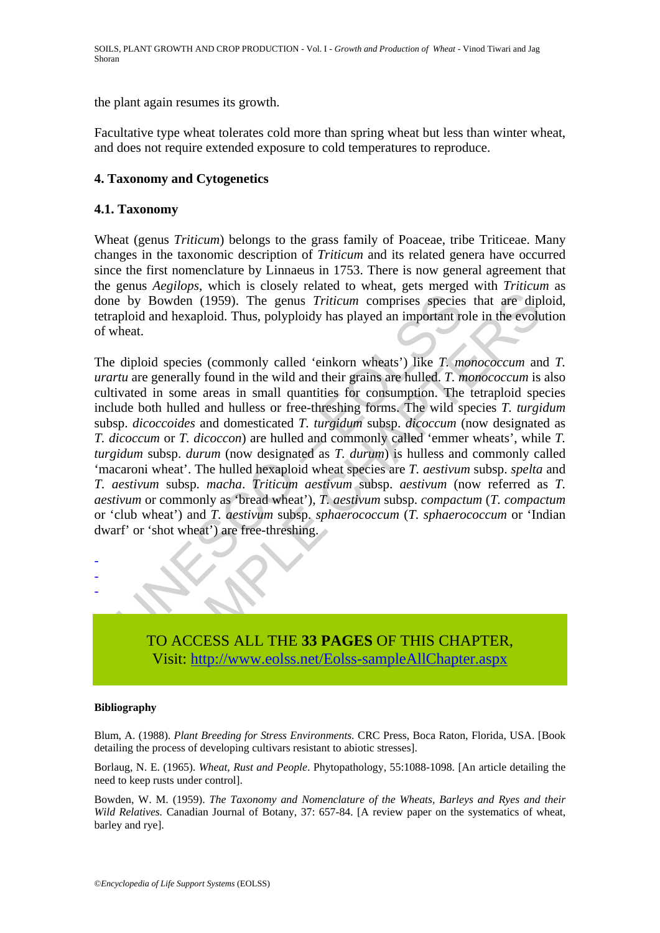the plant again resumes its growth.

Facultative type wheat tolerates cold more than spring wheat but less than winter wheat, and does not require extended exposure to cold temperatures to reproduce.

## **4. Taxonomy and Cytogenetics**

## **4.1. Taxonomy**

Wheat (genus *Triticum*) belongs to the grass family of Poaceae, tribe Triticeae. Many changes in the taxonomic description of *Triticum* and its related genera have occurred since the first nomenclature by Linnaeus in 1753. There is now general agreement that the genus *Aegilops*, which is closely related to wheat, gets merged with *Triticum* as done by Bowden (1959). The genus *Triticum* comprises species that are diploid, tetraploid and hexaploid. Thus, polyploidy has played an important role in the evolution of wheat.

E by Bowden (1959). The genus *Triticum* comprises species<br>ploid and hexaploid. Thus, polyploidy has played an important rc<br>heat.<br>diploid species (commonly called 'einkorn wheats') like *T. m*<br>ivated in some areas in smal Sowden (1959). The genus *Triticum* comprises species that are diplomated background (1959). The genus *Triticum* comprises species that are diplomated background in the wild and their grains are hulled. *T. monococcum* an The diploid species (commonly called 'einkorn wheats') like *T. monococcum* and *T. urartu* are generally found in the wild and their grains are hulled. *T. monococcum* is also cultivated in some areas in small quantities for consumption. The tetraploid species include both hulled and hulless or free-threshing forms. The wild species *T. turgidum* subsp. *dicoccoides* and domesticated *T. turgidum* subsp. *dicoccum* (now designated as *T. dicoccum* or *T. dicoccon*) are hulled and commonly called 'emmer wheats', while *T. turgidum* subsp. *durum* (now designated as *T. durum*) is hulless and commonly called 'macaroni wheat'. The hulled hexaploid wheat species are *T. aestivum* subsp. *spelta* and *T. aestivum* subsp. *macha*. *Triticum aestivum* subsp. *aestivum* (now referred as *T. aestivum* or commonly as 'bread wheat'), *T. aestivum* subsp. *compactum* (*T. compactum*  or 'club wheat') and *T. aestivum* subsp. *sphaerococcum* (*T. sphaerococcum* or 'Indian dwarf' or 'shot wheat') are free-threshing.



#### **Bibliography**

- - -

Blum, A. (1988). *Plant Breeding for Stress Environments*. CRC Press, Boca Raton, Florida, USA. [Book detailing the process of developing cultivars resistant to abiotic stresses].

Borlaug, N. E. (1965). *Wheat, Rust and People*. Phytopathology, 55:1088-1098. [An article detailing the need to keep rusts under control].

Bowden, W. M. (1959). *The Taxonomy and Nomenclature of the Wheats, Barleys and Ryes and their Wild Relatives.* Canadian Journal of Botany, 37: 657-84. [A review paper on the systematics of wheat, barley and rye].